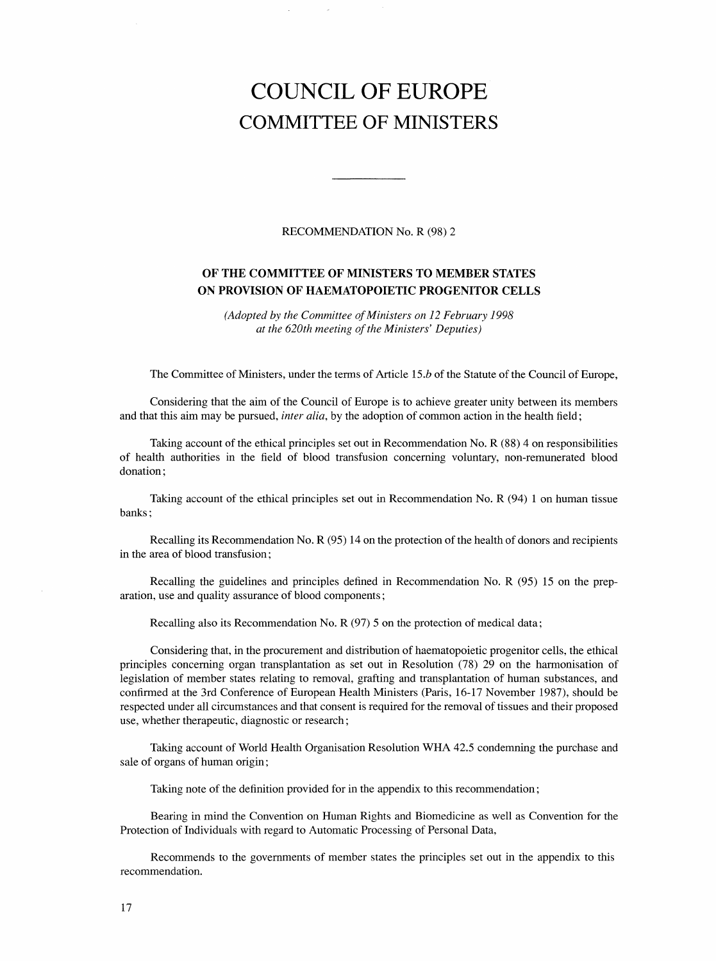## COUNCIL OF EUROPE COMMITTEE OF MINISTERS

RECOMMENDATION No. R (98) 2

## OF THE COMMITTEE OF MINISTERS TO MEMBER STATES ON PROVISION OF HAEMATOPOIETIC PROGENITOR CELLS

(Adopted by the Committee of Ministers on 12 February 1998 at the 620th meeting of the Ministers' Deputies)

The Committee of Ministers, under the terms of Article 15.*b* of the Statute of the Council of Europe,

Considering that the aim of the Council of Europe is to achieve greater unity between its members and that this aim may be pursued, *inter alia*, by the adoption of common action in the health field;

Taking account of the ethical principles set out in Recommendation No. R (88) 4 on responsibilities of health authorities in the field of blood transfusion concerning voluntary, non-remunerated blood donation;

Taking account of the ethical principles set out in Recommendation No. R (94) 1 on human tissue banks;

Recalling its Recommendation No. R (95) 14 on the protection of the health of donors and recipients in the area of blood transfusion;

Recalling the guidelines and principles defined in Recommendation No. R (95) 15 on the preparation, use and quality assurance of blood components;

Recalling also its Recommendation No. R (97) 5 on the protection of medical data;

Considering that, in the procurement and distribution of haematopoietic progenitor cells, the ethical principles concerning organ transplantation as set out in Resolution (78) 29 on the harmonisation of legislation of member states relating to removal, grafting and transplantation of human substances, and confirmed at the 3rd Conference of European Health Ministers (Paris, 16-17 November 1987), should be respected under all circumstances and that consent is required for the removal of tissues and their proposed use, whether therapeutic, diagnostic or research;

Taking account of World Health Organisation Resolution WHA 42.5 condemning the purchase and sale of organs of human origin;

Taking note of the definition provided for in the appendix to this recommendation;

Bearing in mind the Convention on Human Rights and Biomedicine as well as Convention for the Protection of Individuals with regard to Automatic Processing of Personal Data,

Recommends to the governments of member states the principles set out in the appendix to this recommendation.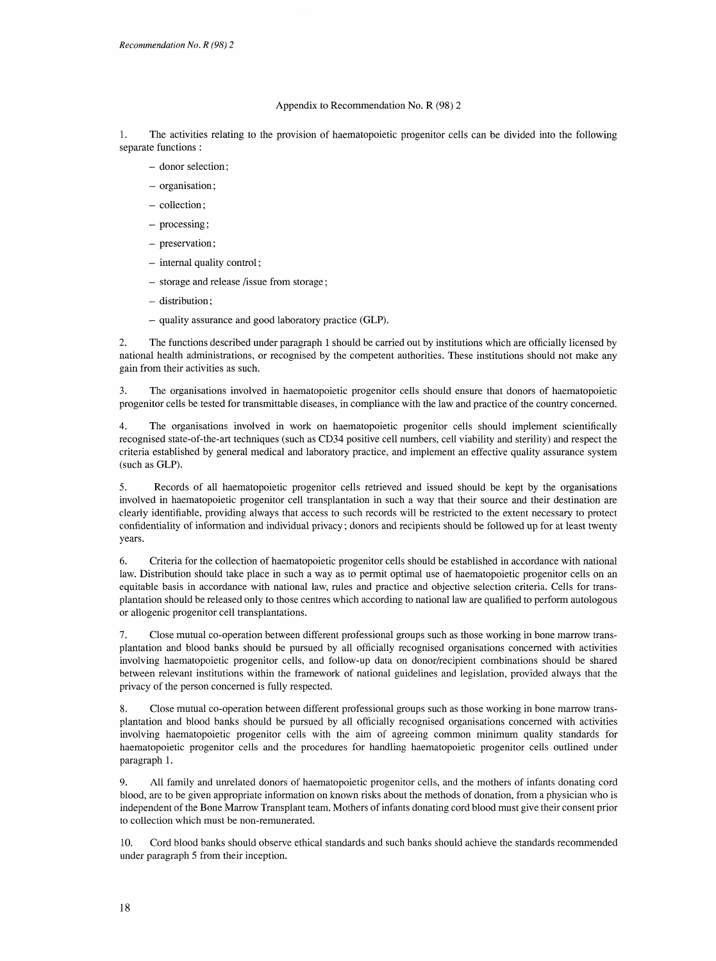## Appendix to Recommendation No. R (98) 2

1. The activities relating to the provision of haematopoietic progenitor cells can be divided into the following separate functions:

- donor selection;
- organisation;
- collection;
- processing;
- preservation;
- internal quality control;
- storage and release /issue from storage;
- distribution;
- quality assurance and good laboratory practice (GLP).

2. The functions described under paragraph 1 should be carried out by institutions which are officially licensed by national health administrations, or recognised by the competent authorities. These institutions should not make any gain from their activities as such.

3. The organisations involved in haematopoietic progenitor cells should ensure that donors of haematopoietic progenitor cells be tested for transmittable diseases, in compliance with the law and practice of the country concerned.

4. The organisations involved in work on haematopoietic progenitor cells should implement scientifically recognised state-of-the-art techniques (such as CD34 positive cell numbers, cell viability and sterility) and respect the criteria established by general medical and laboratory practice, and implement an effective quality assurance system (such as GLP).

5. Records of all haematopoietic progenitor cells retrieved and issued should be kept by the organisations involved in haematopoietic progenitor cell transplantation in such a way that their source and their destination are clearly identifiable, providing always that access to such records will be restricted to the extent necessary to protect confidentiality of information and individual privacy; donors and recipients should be followed up for at least twenty years.

6. Criteria for the collection of haematopoietic progenitor cells should be established in accordance with national law. Distribution should take place in such a way as to permit optimal use of haematopoietic progenitor cells on an equitable basis in accordance with national law, rules and practice and objective selection criteria. Cells for transplantation should be released only to those centres which according to national law are qualified to perform autologous or allogenic progenitor cell transplantations.

7. Close mutual co-operation between different professional groups such as those working in bone marrow transplantation and blood banks should be pursued by all officially recognised organisations concerned with activities involving haematopoietic progenitor cells, and follow-up data on donor/recipient combinations should be shared between relevant institutions within the framework of national guidelines and legislation, provided always that the privacy of the person concerned is fully respected.

8. Close mutual co-operation between different professional groups such as those working in bone marrow transplantation and blood banks should be pursued by all officially recognised organisations concerned with activities involving haematopoietic progenitor cells with the aim of agreeing common minimum quality standards for haematopoietic progenitor cells and the procedures for handling haematopoietic progenitor cells outlined under paragraph 1.

9. All family and unrelated donors of haematopoietic progenitor cells, and the mothers of infants donating cord blood, are to be given appropriate information on known risks about the methods of donation, from a physician who is independent of the Bone Marrow Transplant team. Mothers of infants donating cord blood must give their consent prior to collection which must be non-remunerated.

10. Cord blood banks should observe ethical standards and such banks should achieve the standards recommended under paragraph 5 from their inception.